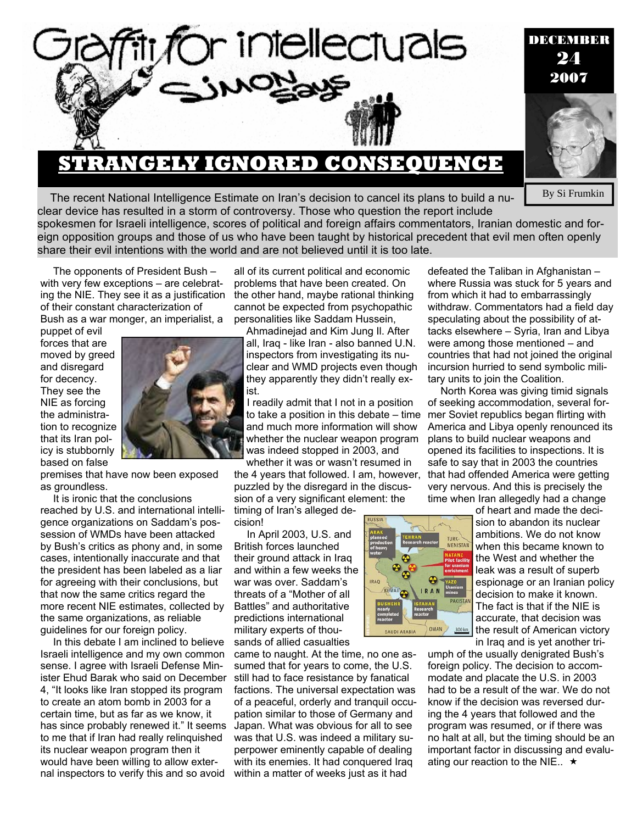

## **STRANGELY IGNORED CONSEQUENCE**

The recent National Intelligence Estimate on Iran's decision to cancel its plans to build a nuclear device has resulted in a storm of controversy. Those who question the report include

spokesmen for Israeli intelligence, scores of political and foreign affairs commentators, Iranian domestic and foreign opposition groups and those of us who have been taught by historical precedent that evil men often openly share their evil intentions with the world and are not believed until it is too late.

The opponents of President Bush – with very few exceptions – are celebrating the NIE. They see it as a justification of their constant characterization of

Bush as a war monger, an imperialist, a

puppet of evil forces that are moved by greed and disregard for decency. They see the NIE as forcing the administration to recognize that its Iran policy is stubbornly based on false



premises that have now been exposed as groundless.

It is ironic that the conclusions reached by U.S. and international intelligence organizations on Saddam's possession of WMDs have been attacked by Bush's critics as phony and, in some cases, intentionally inaccurate and that the president has been labeled as a liar for agreeing with their conclusions, but that now the same critics regard the more recent NIE estimates, collected by the same organizations, as reliable guidelines for our foreign policy.

In this debate I am inclined to believe Israeli intelligence and my own common sense. I agree with Israeli Defense Minister Ehud Barak who said on December 4, "It looks like Iran stopped its program to create an atom bomb in 2003 for a certain time, but as far as we know, it has since probably renewed it." It seems to me that if Iran had really relinquished its nuclear weapon program then it would have been willing to allow external inspectors to verify this and so avoid

all of its current political and economic problems that have been created. On the other hand, maybe rational thinking cannot be expected from psychopathic personalities like Saddam Hussein,

Ahmadinejad and Kim Jung Il. After all, Iraq - like Iran - also banned U.N. inspectors from investigating its nuclear and WMD projects even though they apparently they didn't really exist.

I readily admit that I not in a position to take a position in this debate – time and much more information will show whether the nuclear weapon program was indeed stopped in 2003, and

whether it was or wasn't resumed in the 4 years that followed. I am, however, puzzled by the disregard in the discussion of a very significant element: the timing of Iran's alleged de-

cision!

In April 2003, U.S. and British forces launched their ground attack in Iraq and within a few weeks the war was over. Saddam's threats of a "Mother of all Battles" and authoritative predictions international military experts of thousands of allied casualties

came to naught. At the time, no one assumed that for years to come, the U.S. still had to face resistance by fanatical factions. The universal expectation was of a peaceful, orderly and tranquil occupation similar to those of Germany and Japan. What was obvious for all to see was that U.S. was indeed a military superpower eminently capable of dealing with its enemies. It had conquered Iraq within a matter of weeks just as it had



defeated the Taliban in Afghanistan – where Russia was stuck for 5 years and from which it had to embarrassingly withdraw. Commentators had a field day speculating about the possibility of attacks elsewhere – Syria, Iran and Libya were among those mentioned – and countries that had not joined the original incursion hurried to send symbolic military units to join the Coalition.

North Korea was giving timid signals of seeking accommodation, several former Soviet republics began flirting with America and Libya openly renounced its plans to build nuclear weapons and opened its facilities to inspections. It is safe to say that in 2003 the countries that had offended America were getting very nervous. And this is precisely the time when Iran allegedly had a change

> of heart and made the decision to abandon its nuclear ambitions. We do not know when this became known to the West and whether the leak was a result of superb espionage or an Iranian policy decision to make it known. The fact is that if the NIE is accurate, that decision was the result of American victory in Iraq and is yet another tri-

umph of the usually denigrated Bush's foreign policy. The decision to accommodate and placate the U.S. in 2003 had to be a result of the war. We do not know if the decision was reversed during the 4 years that followed and the program was resumed, or if there was no halt at all, but the timing should be an important factor in discussing and evaluating our reaction to the NIE..  $\star$ 

By Si Frumkin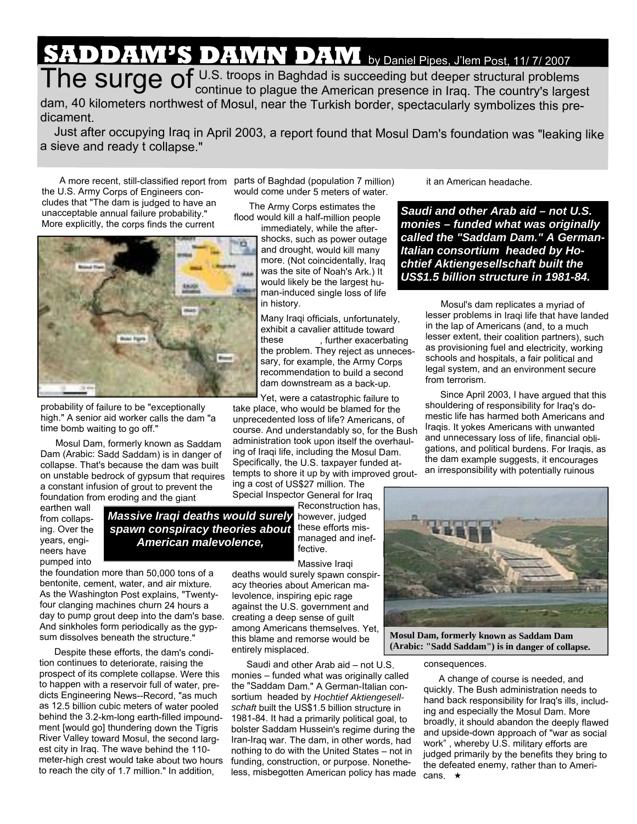## **SADDAM'S DAMN DAM** by Daniel Pipes, J'lem Post, 11/ 7/ <sup>2007</sup>

The surge of U.S. troops in Baghdad is succeeding but deeper structural problems<br>in Iraq. The country's largest dam, <sup>40</sup> kilometers northwest of Mosul, near the Turkish border, spectacularly symbolizes this predicament.

Just after occupying Iraq in April 2003, <sup>a</sup> report found that Mosul Dam's foundation was "leaking like <sup>a</sup> sieve and ready t collapse."

> parts of Baghdad (population 7 million) would come under 5 meters of water. The Army Corps estimates the flood would kill <sup>a</sup> half-million people

A more recent, still-classified report from the U.S. Army Corps of Engineers concludes that "The dam is judged to have an unacceptable annual failure probability." More explicitly, the corps finds the current



probability of failure to be "exceptionally high." A senior aid worker calls the dam "a time bomb waiting to go off."

Mosul Dam, formerly known as Saddam Dam (Arabic: Sadd Saddam) is in danger of collapse. That's because the dam was built on unstable bedrock of gypsum that requires <sup>a</sup> constant infusion of grout to prevent the foundation from eroding and the giant

earthen wall from collapsing. Over the years, engineers have pumped into

*Massive Iraqi deaths would surely spawn conspiracy theories about American malevolence,* 

managed and ineffective. Massive Iraqi

however, judged these efforts mis-

take place, who would be blamed for the unprecedented loss of life? Americans, of course. And understandably so, for the Bush administration took upon itself the overhauling of Iraqi life, including the Mosul Dam. Specifically, the U.S. taxpayer funded attempts to shore it up by with improved grout-

the foundation more than 50,000 tons of <sup>a</sup> bentonite, cement, water, and air mixture. As the Washington Post explains, "Twentyfour clanging machines churn 24 hours <sup>a</sup> day to pump grout deep into the dam's base. And sinkholes form periodically as the gypsum dissolves beneath the structure."

Despite these efforts, the dam's condition continues to deteriorate, raising the prospect of its complete collapse. Were this to happen with <sup>a</sup> reservoir full of water, predicts Engineering News--Record, "as much as 12.5 billion cubic meters of water pooled behind the 3.2-km-long earth-filled impoundment [would go] thundering down the Tigris River Valley toward Mosul, the second largest city in Iraq. The wave behind the 110 meter-high crest would take about two hours to reach the city of 1.7 million." In addition,

deaths would surely spawn conspiracy theories about American malevolence, inspiring epic rage against the U.S. government and creating <sup>a</sup> deep sense of guilt among Americans themselves. Yet, this blame and remorse would be entirely misplaced.

ing <sup>a</sup> cost of US\$27 million. The Special Inspector General for Iraq

Saudi and other Arab aid – not U.S. monies – funded what was originally called the "Saddam Dam." A German-Italian consortium headed by *Hochtief Aktiengesellschaft* built the US\$1.5 billion structure in 1981-84. It had <sup>a</sup> primarily political goal, to bolster Saddam Hussein's regime during the Iran-Iraq war. The dam, in other words, had nothing to do with the United States – not in funding, construction, or purpose. Nonetheless, misbegotten American policy has made it an American headache.

*Saudi and other Arab aid – not U.S. monies – funded what was originally called the "Saddam Dam." A German-Italian consortium headed by Hochtief Aktiengesellschaft built the US\$1.5 billion structure in 1981-84.* 

> Mosul's dam replicates <sup>a</sup> myriad of lesser problems in Iraqi life that have landed in the lap of Americans (and, to <sup>a</sup> much lesser extent, their coalition partners), such as provisioning fuel and electricity, working schools and hospitals, <sup>a</sup> fair political and legal system, and an environment secure from terrorism.

> Since April 2003, I have argued that this shouldering of responsibility for Iraq's domestic life has harmed both Americans and Iraqis. It yokes Americans with unwanted and unnecessary loss of life, financial obligations, and political burdens. For Iraqis, as the dam example suggests, it encourages an irresponsibility with potentially ruinous



**Mosul Dam, formerly known as Saddam Dam (Arabic: "Sadd Saddam") is in danger of collapse.**

consequences.

A change of course is needed, and quickly. The Bush administration needs to hand back responsibility for Iraq's ills, including and especially the Mosul Dam. More broadly, it should abandon the deeply flawed and upside-down approach of "war as social work" , whereby U.S. military efforts are judged primarily by the benefits they bring to the defeated enemy, rather than to Americans.  $\star$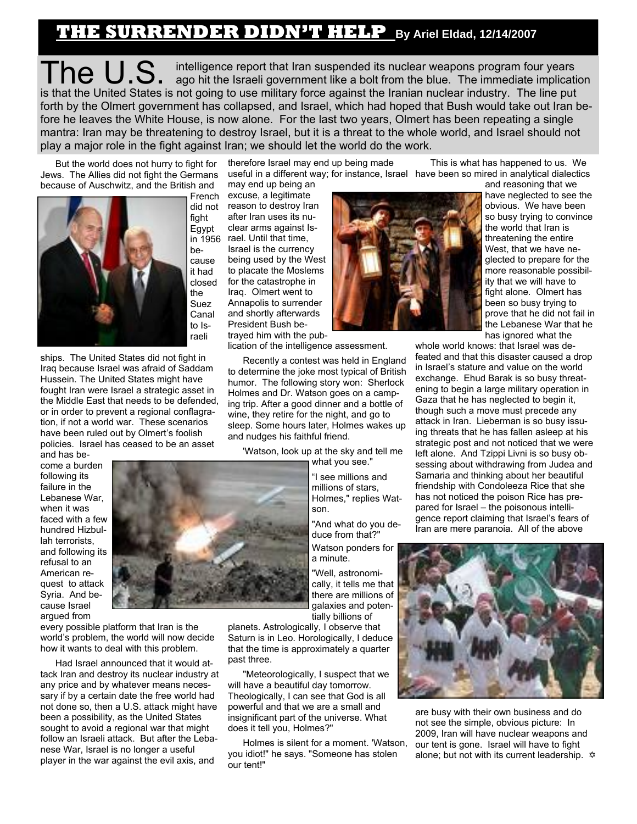## **THE SURRENDER DIDN'T HELP By Ariel Eldad, 12/14/2007**

The U.S. intelligence report that Iran suspended its nuclear weapons program four years ago hit the Israeli government like a bolt from the blue. The immediate implication is that the United States is not going to use military force against the Iranian nuclear industry. The line put forth by the Olmert government has collapsed, and Israel, which had hoped that Bush would take out Iran before he leaves the White House, is now alone. For the last two years, Olmert has been repeating a single mantra: Iran may be threatening to destroy Israel, but it is a threat to the whole world, and Israel should not play a major role in the fight against Iran; we should let the world do the work.

But the world does not hurry to fight for Jews. The Allies did not fight the Germans because of Auschwitz, and the British and



raeli ships. The United States did not fight in Iraq because Israel was afraid of Saddam Hussein. The United States might have fought Iran were Israel a strategic asset in the Middle East that needs to be defended, or in order to prevent a regional conflagration, if not a world war. These scenarios have been ruled out by Olmert's foolish policies. Israel has ceased to be an asset

and has become a burden following its failure in the Lebanese War, when it was faced with a few hundred Hizbullah terrorists, and following its refusal to an American request to attack Syria. And because Israel

argued from every possible platform that Iran is the world's problem, the world will now decide how it wants to deal with this problem.

Had Israel announced that it would attack Iran and destroy its nuclear industry at any price and by whatever means necessary if by a certain date the free world had not done so, then a U.S. attack might have been a possibility, as the United States sought to avoid a regional war that might follow an Israeli attack. But after the Lebanese War, Israel is no longer a useful player in the war against the evil axis, and

therefore Israel may end up being made may end up being an

excuse, a legitimate reason to destroy Iran after Iran uses its nuclear arms against Israel. Until that time, Israel is the currency being used by the West to placate the Moslems for the catastrophe in Iraq. Olmert went to Annapolis to surrender and shortly afterwards President Bush betrayed him with the pub-

lication of the intelligence assessment.

Recently a contest was held in England to determine the joke most typical of British humor. The following story won: Sherlock Holmes and Dr. Watson goes on a camping trip. After a good dinner and a bottle of wine, they retire for the night, and go to sleep. Some hours later, Holmes wakes up and nudges his faithful friend.

'Watson, look up at the sky and tell me what you see."

> "I see millions and millions of stars, Holmes," replies Watson.

"And what do you deduce from that?" Watson ponders for a minute.

"Well, astronomically, it tells me that there are millions of galaxies and potentially billions of

planets. Astrologically, I observe that Saturn is in Leo. Horologically, I deduce that the time is approximately a quarter past three.

"Meteorologically, I suspect that we will have a beautiful day tomorrow. Theologically, I can see that God is all powerful and that we are a small and insignificant part of the universe. What does it tell you, Holmes?"

Holmes is silent for a moment. 'Watson, you idiot!" he says. "Someone has stolen our tent!"



useful in a different way; for instance, Israel have been so mired in analytical dialectics This is what has happened to us. We and reasoning that we

have neglected to see the obvious. We have been so busy trying to convince the world that Iran is threatening the entire West, that we have neglected to prepare for the more reasonable possibility that we will have to fight alone. Olmert has been so busy trying to prove that he did not fail in the Lebanese War that he has ignored what the

whole world knows: that Israel was defeated and that this disaster caused a drop in Israel's stature and value on the world exchange. Ehud Barak is so busy threatening to begin a large military operation in Gaza that he has neglected to begin it, though such a move must precede any attack in Iran. Lieberman is so busy issuing threats that he has fallen asleep at his strategic post and not noticed that we were left alone. And Tzippi Livni is so busy obsessing about withdrawing from Judea and Samaria and thinking about her beautiful friendship with Condoleeza Rice that she has not noticed the poison Rice has prepared for Israel – the poisonous intelligence report claiming that Israel's fears of Iran are mere paranoia. All of the above



are busy with their own business and do not see the simple, obvious picture: In 2009, Iran will have nuclear weapons and our tent is gone. Israel will have to fight alone; but not with its current leadership.  $\Phi$